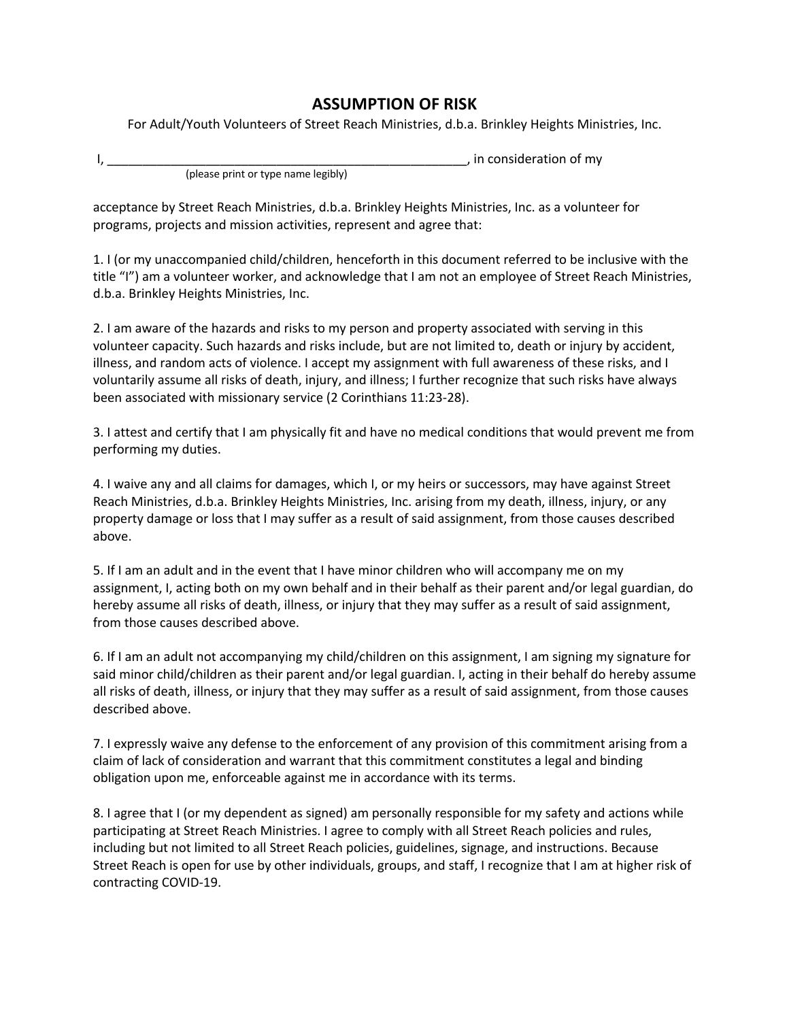## **ASSUMPTION OF RISK**

For Adult/Youth Volunteers of Street Reach Ministries, d.b.a. Brinkley Heights Ministries, Inc.

|                                     | , in consideration of my |
|-------------------------------------|--------------------------|
| (please print or type name legibly) |                          |

acceptance by Street Reach Ministries, d.b.a. Brinkley Heights Ministries, Inc. as a volunteer for programs, projects and mission activities, represent and agree that:

1. I (or my unaccompanied child/children, henceforth in this document referred to be inclusive with the title "I") am a volunteer worker, and acknowledge that I am not an employee of Street Reach Ministries, d.b.a. Brinkley Heights Ministries, Inc.

2. I am aware of the hazards and risks to my person and property associated with serving in this volunteer capacity. Such hazards and risks include, but are not limited to, death or injury by accident, illness, and random acts of violence. I accept my assignment with full awareness of these risks, and I voluntarily assume all risks of death, injury, and illness; I further recognize that such risks have always been associated with missionary service (2 Corinthians 11:23-28).

3. I attest and certify that I am physically fit and have no medical conditions that would prevent me from performing my duties.

4. I waive any and all claims for damages, which I, or my heirs or successors, may have against Street Reach Ministries, d.b.a. Brinkley Heights Ministries, Inc. arising from my death, illness, injury, or any property damage or loss that I may suffer as a result of said assignment, from those causes described above.

5. If I am an adult and in the event that I have minor children who will accompany me on my assignment, I, acting both on my own behalf and in their behalf as their parent and/or legal guardian, do hereby assume all risks of death, illness, or injury that they may suffer as a result of said assignment, from those causes described above.

6. If I am an adult not accompanying my child/children on this assignment, I am signing my signature for said minor child/children as their parent and/or legal guardian. I, acting in their behalf do hereby assume all risks of death, illness, or injury that they may suffer as a result of said assignment, from those causes described above.

7. I expressly waive any defense to the enforcement of any provision of this commitment arising from a claim of lack of consideration and warrant that this commitment constitutes a legal and binding obligation upon me, enforceable against me in accordance with its terms.

8. I agree that I (or my dependent as signed) am personally responsible for my safety and actions while participating at Street Reach Ministries. I agree to comply with all Street Reach policies and rules, including but not limited to all Street Reach policies, guidelines, signage, and instructions. Because Street Reach is open for use by other individuals, groups, and staff, I recognize that I am at higher risk of contracting COVID-19.